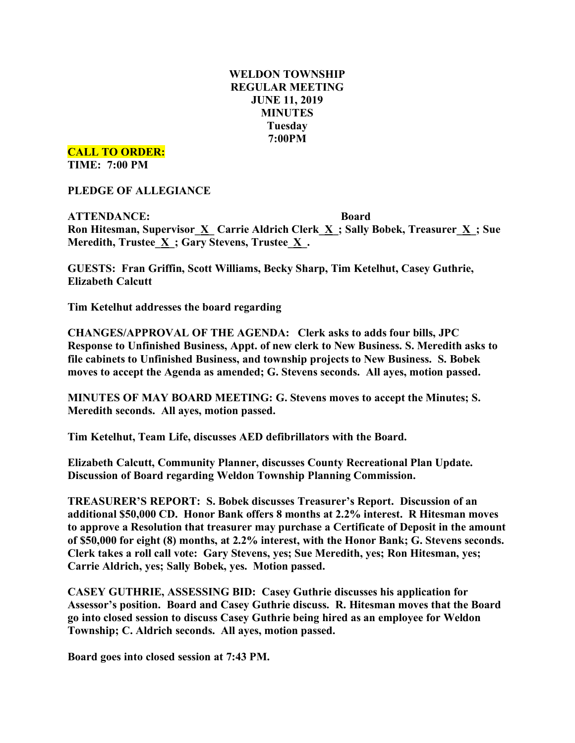# **WELDON TOWNSHIP REGULAR MEETING JUNE 11, 2019 MINUTES Tuesday 7:00PM**

**CALL TO ORDER:**

**TIME: 7:00 PM**

**PLEDGE OF ALLEGIANCE**

**ATTENDANCE: Board Ron Hitesman, Supervisor\_X\_ Carrie Aldrich Clerk\_X\_; Sally Bobek, Treasurer\_X\_; Sue Meredith, Trustee\_X\_; Gary Stevens, Trustee\_X\_.**

**GUESTS: Fran Griffin, Scott Williams, Becky Sharp, Tim Ketelhut, Casey Guthrie, Elizabeth Calcutt**

**Tim Ketelhut addresses the board regarding** 

**CHANGES/APPROVAL OF THE AGENDA: Clerk asks to adds four bills, JPC Response to Unfinished Business, Appt. of new clerk to New Business. S. Meredith asks to file cabinets to Unfinished Business, and township projects to New Business. S. Bobek moves to accept the Agenda as amended; G. Stevens seconds. All ayes, motion passed.**

**MINUTES OF MAY BOARD MEETING: G. Stevens moves to accept the Minutes; S. Meredith seconds. All ayes, motion passed.**

**Tim Ketelhut, Team Life, discusses AED defibrillators with the Board.**

**Elizabeth Calcutt, Community Planner, discusses County Recreational Plan Update. Discussion of Board regarding Weldon Township Planning Commission.**

**TREASURER'S REPORT: S. Bobek discusses Treasurer's Report. Discussion of an additional \$50,000 CD. Honor Bank offers 8 months at 2.2% interest. R Hitesman moves to approve a Resolution that treasurer may purchase a Certificate of Deposit in the amount of \$50,000 for eight (8) months, at 2.2% interest, with the Honor Bank; G. Stevens seconds. Clerk takes a roll call vote: Gary Stevens, yes; Sue Meredith, yes; Ron Hitesman, yes; Carrie Aldrich, yes; Sally Bobek, yes. Motion passed.**

**CASEY GUTHRIE, ASSESSING BID: Casey Guthrie discusses his application for Assessor's position. Board and Casey Guthrie discuss. R. Hitesman moves that the Board go into closed session to discuss Casey Guthrie being hired as an employee for Weldon Township; C. Aldrich seconds. All ayes, motion passed.**

**Board goes into closed session at 7:43 PM.**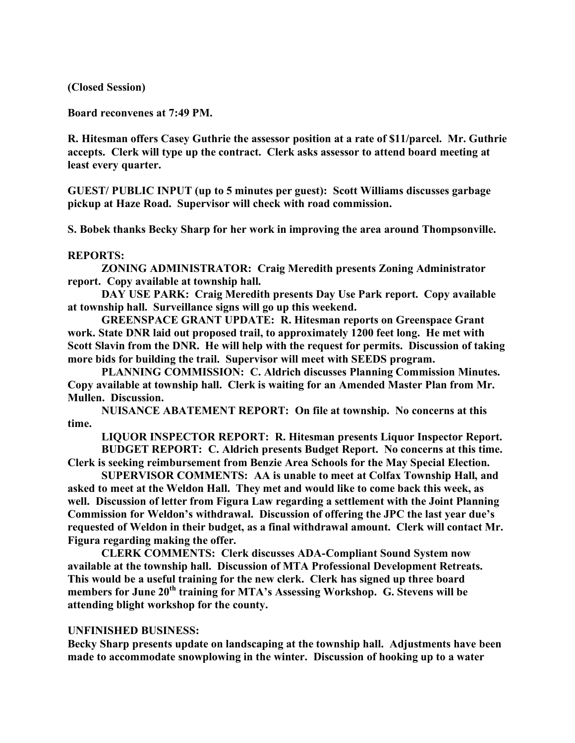**(Closed Session)**

**Board reconvenes at 7:49 PM.**

**R. Hitesman offers Casey Guthrie the assessor position at a rate of \$11/parcel. Mr. Guthrie accepts. Clerk will type up the contract. Clerk asks assessor to attend board meeting at least every quarter.**

**GUEST/ PUBLIC INPUT (up to 5 minutes per guest): Scott Williams discusses garbage pickup at Haze Road. Supervisor will check with road commission.**

**S. Bobek thanks Becky Sharp for her work in improving the area around Thompsonville.**

# **REPORTS:**

**ZONING ADMINISTRATOR: Craig Meredith presents Zoning Administrator report. Copy available at township hall.**

**DAY USE PARK: Craig Meredith presents Day Use Park report. Copy available at township hall. Surveillance signs will go up this weekend.**

**GREENSPACE GRANT UPDATE: R. Hitesman reports on Greenspace Grant work. State DNR laid out proposed trail, to approximately 1200 feet long. He met with Scott Slavin from the DNR. He will help with the request for permits. Discussion of taking more bids for building the trail. Supervisor will meet with SEEDS program.**

**PLANNING COMMISSION: C. Aldrich discusses Planning Commission Minutes. Copy available at township hall. Clerk is waiting for an Amended Master Plan from Mr. Mullen. Discussion.**

**NUISANCE ABATEMENT REPORT: On file at township. No concerns at this time.**

**LIQUOR INSPECTOR REPORT: R. Hitesman presents Liquor Inspector Report. BUDGET REPORT: C. Aldrich presents Budget Report. No concerns at this time.**

**Clerk is seeking reimbursement from Benzie Area Schools for the May Special Election. SUPERVISOR COMMENTS: AA is unable to meet at Colfax Township Hall, and**

**asked to meet at the Weldon Hall. They met and would like to come back this week, as well. Discussion of letter from Figura Law regarding a settlement with the Joint Planning Commission for Weldon's withdrawal. Discussion of offering the JPC the last year due's requested of Weldon in their budget, as a final withdrawal amount. Clerk will contact Mr. Figura regarding making the offer.**

**CLERK COMMENTS: Clerk discusses ADA-Compliant Sound System now available at the township hall. Discussion of MTA Professional Development Retreats. This would be a useful training for the new clerk. Clerk has signed up three board members for June 20th training for MTA's Assessing Workshop. G. Stevens will be attending blight workshop for the county.**

### **UNFINISHED BUSINESS:**

**Becky Sharp presents update on landscaping at the township hall. Adjustments have been made to accommodate snowplowing in the winter. Discussion of hooking up to a water**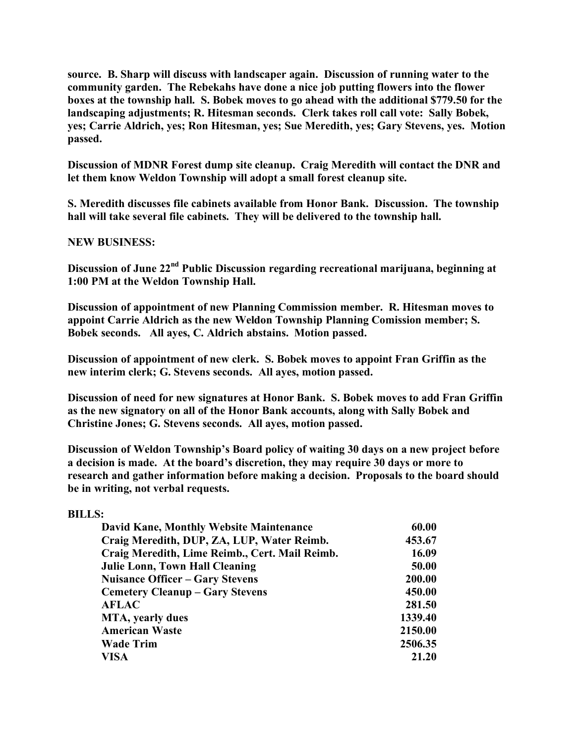**source. B. Sharp will discuss with landscaper again. Discussion of running water to the community garden. The Rebekahs have done a nice job putting flowers into the flower boxes at the township hall. S. Bobek moves to go ahead with the additional \$779.50 for the landscaping adjustments; R. Hitesman seconds. Clerk takes roll call vote: Sally Bobek, yes; Carrie Aldrich, yes; Ron Hitesman, yes; Sue Meredith, yes; Gary Stevens, yes. Motion passed.**

**Discussion of MDNR Forest dump site cleanup. Craig Meredith will contact the DNR and let them know Weldon Township will adopt a small forest cleanup site.**

**S. Meredith discusses file cabinets available from Honor Bank. Discussion. The township hall will take several file cabinets. They will be delivered to the township hall.**

# **NEW BUSINESS:**

**Discussion of June 22nd Public Discussion regarding recreational marijuana, beginning at 1:00 PM at the Weldon Township Hall.**

**Discussion of appointment of new Planning Commission member. R. Hitesman moves to appoint Carrie Aldrich as the new Weldon Township Planning Comission member; S. Bobek seconds. All ayes, C. Aldrich abstains. Motion passed.**

**Discussion of appointment of new clerk. S. Bobek moves to appoint Fran Griffin as the new interim clerk; G. Stevens seconds. All ayes, motion passed.**

**Discussion of need for new signatures at Honor Bank. S. Bobek moves to add Fran Griffin as the new signatory on all of the Honor Bank accounts, along with Sally Bobek and Christine Jones; G. Stevens seconds. All ayes, motion passed.**

**Discussion of Weldon Township's Board policy of waiting 30 days on a new project before a decision is made. At the board's discretion, they may require 30 days or more to research and gather information before making a decision. Proposals to the board should be in writing, not verbal requests.**

### **BILLS:**

| David Kane, Monthly Website Maintenance        | 60.00   |
|------------------------------------------------|---------|
| Craig Meredith, DUP, ZA, LUP, Water Reimb.     | 453.67  |
| Craig Meredith, Lime Reimb., Cert. Mail Reimb. | 16.09   |
| <b>Julie Lonn, Town Hall Cleaning</b>          | 50.00   |
| <b>Nuisance Officer – Gary Stevens</b>         | 200.00  |
| <b>Cemetery Cleanup – Gary Stevens</b>         | 450.00  |
| <b>AFLAC</b>                                   | 281.50  |
| <b>MTA</b> , yearly dues                       | 1339.40 |
| <b>American Waste</b>                          | 2150.00 |
| <b>Wade Trim</b>                               | 2506.35 |
| VISA                                           | 21.20   |